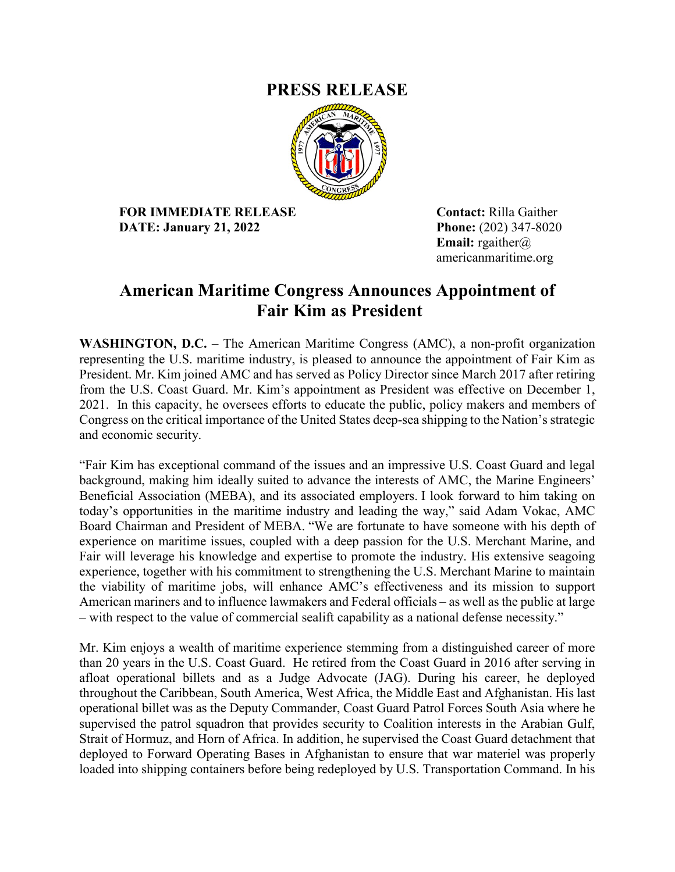## **PRESS RELEASE**



**FOR IMMEDIATE RELEASE Contact:** Rilla Gaither **DATE: January 21, 2022 Phone:** (202) 347-8020

**Email:** rgaither@ americanmaritime.org

## **American Maritime Congress Announces Appointment of Fair Kim as President**

**WASHINGTON, D.C.** – The American Maritime Congress (AMC), a non-profit organization representing the U.S. maritime industry, is pleased to announce the appointment of Fair Kim as President. Mr. Kim joined AMC and has served as Policy Director since March 2017 after retiring from the U.S. Coast Guard. Mr. Kim's appointment as President was effective on December 1, 2021. In this capacity, he oversees efforts to educate the public, policy makers and members of Congress on the critical importance of the United States deep-sea shipping to the Nation's strategic and economic security.

"Fair Kim has exceptional command of the issues and an impressive U.S. Coast Guard and legal background, making him ideally suited to advance the interests of AMC, the Marine Engineers' Beneficial Association (MEBA), and its associated employers. I look forward to him taking on today's opportunities in the maritime industry and leading the way," said Adam Vokac, AMC Board Chairman and President of MEBA. "We are fortunate to have someone with his depth of experience on maritime issues, coupled with a deep passion for the U.S. Merchant Marine, and Fair will leverage his knowledge and expertise to promote the industry. His extensive seagoing experience, together with his commitment to strengthening the U.S. Merchant Marine to maintain the viability of maritime jobs, will enhance AMC's effectiveness and its mission to support American mariners and to influence lawmakers and Federal officials – as well as the public at large – with respect to the value of commercial sealift capability as a national defense necessity."

Mr. Kim enjoys a wealth of maritime experience stemming from a distinguished career of more than 20 years in the U.S. Coast Guard. He retired from the Coast Guard in 2016 after serving in afloat operational billets and as a Judge Advocate (JAG). During his career, he deployed throughout the Caribbean, South America, West Africa, the Middle East and Afghanistan. His last operational billet was as the Deputy Commander, Coast Guard Patrol Forces South Asia where he supervised the patrol squadron that provides security to Coalition interests in the Arabian Gulf, Strait of Hormuz, and Horn of Africa. In addition, he supervised the Coast Guard detachment that deployed to Forward Operating Bases in Afghanistan to ensure that war materiel was properly loaded into shipping containers before being redeployed by U.S. Transportation Command. In his